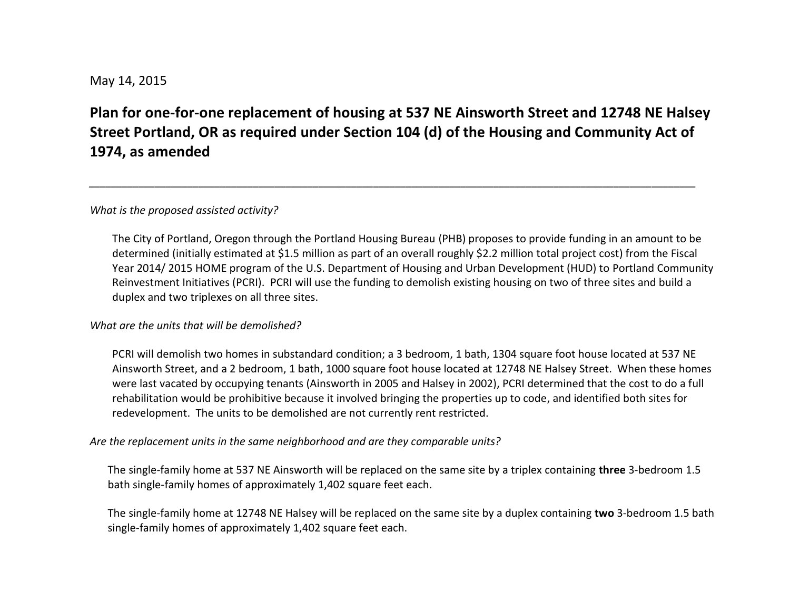## May 14, 2015

# **Plan for one-for-one replacement of housing at 537 NE Ainsworth Street and 12748 NE Halsey Street Portland, OR as required under Section 104 (d) of the Housing and Community Act of 1974, as amended**

*\_\_\_\_\_\_\_\_\_\_\_\_\_\_\_\_\_\_\_\_\_\_\_\_\_\_\_\_\_\_\_\_\_\_\_\_\_\_\_\_\_\_\_\_\_\_\_\_\_\_\_\_\_\_\_\_\_\_\_\_\_\_\_\_\_\_\_\_\_\_\_\_\_\_\_\_\_\_\_\_\_\_\_\_\_\_\_\_\_\_\_\_\_\_\_\_\_\_\_\_\_\_\_\_\_\_\_\_\_\_\_*

#### *What is the proposed assisted activity?*

The City of Portland, Oregon through the Portland Housing Bureau (PHB) proposes to provide funding in an amount to be determined (initially estimated at \$1.5 million as part of an overall roughly \$2.2 million total project cost) from the Fiscal Year 2014/ 2015 HOME program of the U.S. Department of Housing and Urban Development (HUD) to Portland Community Reinvestment Initiatives (PCRI). PCRI will use the funding to demolish existing housing on two of three sites and build a duplex and two triplexes on all three sites.

#### *What are the units that will be demolished?*

PCRI will demolish two homes in substandard condition; a 3 bedroom, 1 bath, 1304 square foot house located at 537 NE Ainsworth Street, and a 2 bedroom, 1 bath, 1000 square foot house located at 12748 NE Halsey Street. When these homes were last vacated by occupying tenants (Ainsworth in 2005 and Halsey in 2002), PCRI determined that the cost to do a full rehabilitation would be prohibitive because it involved bringing the properties up to code, and identified both sites for redevelopment. The units to be demolished are not currently rent restricted.

#### *Are the replacement units in the same neighborhood and are they comparable units?*

The single-family home at 537 NE Ainsworth will be replaced on the same site by a triplex containing **three** 3-bedroom 1.5 bath single-family homes of approximately 1,402 square feet each.

The single-family home at 12748 NE Halsey will be replaced on the same site by a duplex containing **two** 3-bedroom 1.5 bath single-family homes of approximately 1,402 square feet each.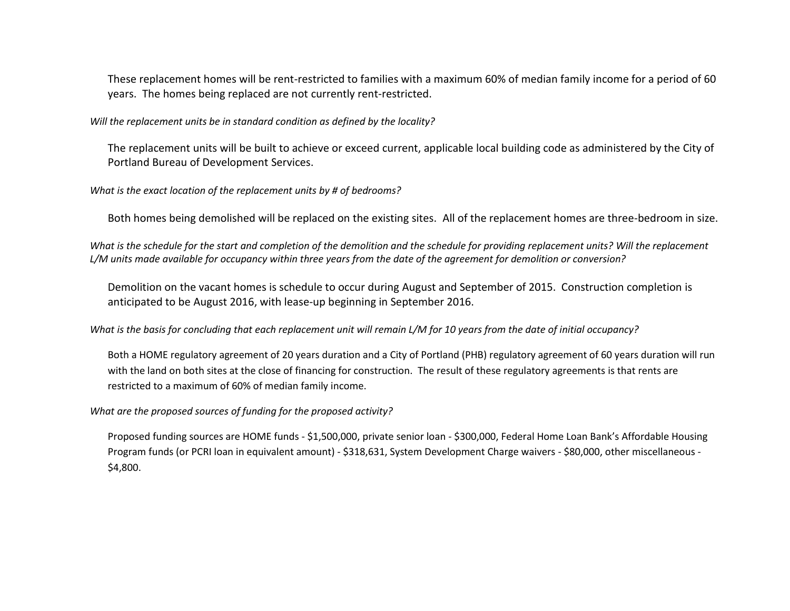These replacement homes will be rent-restricted to families with a maximum 60% of median family income for a period of 60 years. The homes being replaced are not currently rent-restricted.

*Will the replacement units be in standard condition as defined by the locality?*

The replacement units will be built to achieve or exceed current, applicable local building code as administered by the City of Portland Bureau of Development Services.

*What is the exact location of the replacement units by # of bedrooms?*

Both homes being demolished will be replaced on the existing sites. All of the replacement homes are three-bedroom in size.

*What is the schedule for the start and completion of the demolition and the schedule for providing replacement units? Will the replacement L/M units made available for occupancy within three years from the date of the agreement for demolition or conversion?*

Demolition on the vacant homes is schedule to occur during August and September of 2015. Construction completion is anticipated to be August 2016, with lease-up beginning in September 2016.

*What is the basis for concluding that each replacement unit will remain L/M for 10 years from the date of initial occupancy?* 

Both a HOME regulatory agreement of 20 years duration and a City of Portland (PHB) regulatory agreement of 60 years duration will run with the land on both sites at the close of financing for construction. The result of these regulatory agreements is that rents are restricted to a maximum of 60% of median family income.

*What are the proposed sources of funding for the proposed activity?*

Proposed funding sources are HOME funds - \$1,500,000, private senior loan - \$300,000, Federal Home Loan Bank's Affordable Housing Program funds (or PCRI loan in equivalent amount) - \$318,631, System Development Charge waivers - \$80,000, other miscellaneous - \$4,800.